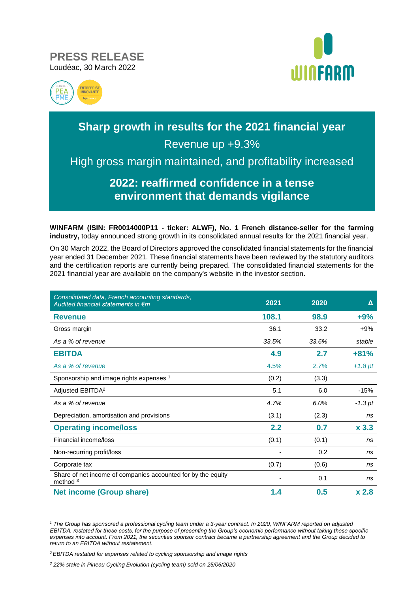**PRESS RELEASE** Loudéac, 30 March 2022





# **Sharp growth in results for the 2021 financial year** Revenue up +9.3%

High gross margin maintained, and profitability increased

# **2022: reaffirmed confidence in a tense environment that demands vigilance**

**WINFARM (ISIN: FR0014000P11 - ticker: ALWF), No. 1 French distance-seller for the farming industry,** today announced strong growth in its consolidated annual results for the 2021 financial year.

On 30 March 2022, the Board of Directors approved the consolidated financial statements for the financial year ended 31 December 2021. These financial statements have been reviewed by the statutory auditors and the certification reports are currently being prepared. The consolidated financial statements for the 2021 financial year are available on the company's website in the investor section.

| Consolidated data, French accounting standards,<br>Audited financial statements in $\epsilon$ m | 2021  | 2020  | Δ                |
|-------------------------------------------------------------------------------------------------|-------|-------|------------------|
| <b>Revenue</b>                                                                                  | 108.1 | 98.9  | $+9%$            |
| Gross margin                                                                                    | 36.1  | 33.2  | $+9%$            |
| As a % of revenue                                                                               | 33.5% | 33.6% | stable           |
| <b>EBITDA</b>                                                                                   | 4.9   | 2.7   | $+81%$           |
| As a % of revenue                                                                               | 4.5%  | 2.7%  | $+1.8$ pt        |
| Sponsorship and image rights expenses 1                                                         | (0.2) | (3.3) |                  |
| Adjusted EBITDA <sup>2</sup>                                                                    | 5.1   | 6.0   | $-15%$           |
| As a % of revenue                                                                               | 4.7%  | 6.0%  | $-1.3$ pt        |
| Depreciation, amortisation and provisions                                                       | (3.1) | (2.3) | ns               |
| <b>Operating income/loss</b>                                                                    | 2.2   | 0.7   | x <sub>3.3</sub> |
| Financial income/loss                                                                           | (0.1) | (0.1) | ns               |
| Non-recurring profit/loss                                                                       |       | 0.2   | ns               |
| Corporate tax                                                                                   | (0.7) | (0.6) | ns               |
| Share of net income of companies accounted for by the equity<br>method $3$                      |       | 0.1   | ns               |
| <b>Net income (Group share)</b>                                                                 | 1.4   | 0.5   | x <sub>2.8</sub> |

*<sup>1</sup> The Group has sponsored a professional cycling team under a 3-year contract. In 2020, WINFARM reported on adjusted EBITDA, restated for these costs, for the purpose of presenting the Group's economic performance without taking these specific expenses into account. From 2021, the securities sponsor contract became a partnership agreement and the Group decided to return to an EBITDA without restatement.*

*<sup>2</sup> EBITDA restated for expenses related to cycling sponsorship and image rights*

*<sup>3</sup> 22% stake in Pineau Cycling Evolution (cycling team) sold on 25/06/2020*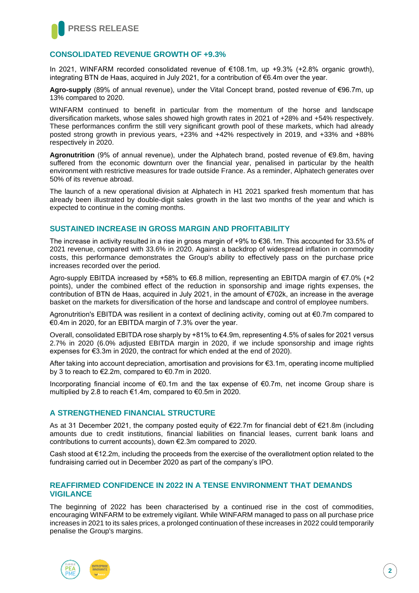

#### **CONSOLIDATED REVENUE GROWTH OF +9.3%**

In 2021, WINFARM recorded consolidated revenue of €108.1m, up +9.3% (+2.8% organic growth), integrating BTN de Haas, acquired in July 2021, for a contribution of €6.4m over the year.

**Agro-supply** (89% of annual revenue), under the Vital Concept brand, posted revenue of €96.7m, up 13% compared to 2020.

WINFARM continued to benefit in particular from the momentum of the horse and landscape diversification markets, whose sales showed high growth rates in 2021 of +28% and +54% respectively. These performances confirm the still very significant growth pool of these markets, which had already posted strong growth in previous years, +23% and +42% respectively in 2019, and +33% and +88% respectively in 2020.

**Agronutrition** (9% of annual revenue), under the Alphatech brand, posted revenue of €9.8m, having suffered from the economic downturn over the financial year, penalised in particular by the health environment with restrictive measures for trade outside France. As a reminder, Alphatech generates over 50% of its revenue abroad.

The launch of a new operational division at Alphatech in H1 2021 sparked fresh momentum that has already been illustrated by double-digit sales growth in the last two months of the year and which is expected to continue in the coming months.

#### **SUSTAINED INCREASE IN GROSS MARGIN AND PROFITABILITY**

The increase in activity resulted in a rise in gross margin of +9% to €36.1m. This accounted for 33.5% of 2021 revenue, compared with 33.6% in 2020. Against a backdrop of widespread inflation in commodity costs, this performance demonstrates the Group's ability to effectively pass on the purchase price increases recorded over the period.

Agro-supply EBITDA increased by +58% to €6.8 million, representing an EBITDA margin of €7.0% (+2 points), under the combined effect of the reduction in sponsorship and image rights expenses, the contribution of BTN de Haas, acquired in July 2021, in the amount of €702k, an increase in the average basket on the markets for diversification of the horse and landscape and control of employee numbers.

Agronutrition's EBITDA was resilient in a context of declining activity, coming out at €0.7m compared to €0.4m in 2020, for an EBITDA margin of 7.3% over the year.

Overall, consolidated EBITDA rose sharply by +81% to €4.9m, representing 4.5% of sales for 2021 versus 2.7% in 2020 (6.0% adjusted EBITDA margin in 2020, if we include sponsorship and image rights expenses for €3.3m in 2020, the contract for which ended at the end of 2020).

After taking into account depreciation, amortisation and provisions for €3.1m, operating income multiplied by 3 to reach to €2.2m, compared to €0.7m in 2020.

Incorporating financial income of €0.1m and the tax expense of €0.7m, net income Group share is multiplied by 2.8 to reach €1.4m, compared to €0.5m in 2020.

#### **A STRENGTHENED FINANCIAL STRUCTURE**

As at 31 December 2021, the company posted equity of €22.7m for financial debt of €21.8m (including amounts due to credit institutions, financial liabilities on financial leases, current bank loans and contributions to current accounts), down €2.3m compared to 2020.

Cash stood at €12.2m, including the proceeds from the exercise of the overallotment option related to the fundraising carried out in December 2020 as part of the company's IPO.

#### **REAFFIRMED CONFIDENCE IN 2022 IN A TENSE ENVIRONMENT THAT DEMANDS VIGILANCE**

The beginning of 2022 has been characterised by a continued rise in the cost of commodities, encouraging WINFARM to be extremely vigilant. While WINFARM managed to pass on all purchase price increases in 2021 to its sales prices, a prolonged continuation of these increases in 2022 could temporarily penalise the Group's margins.